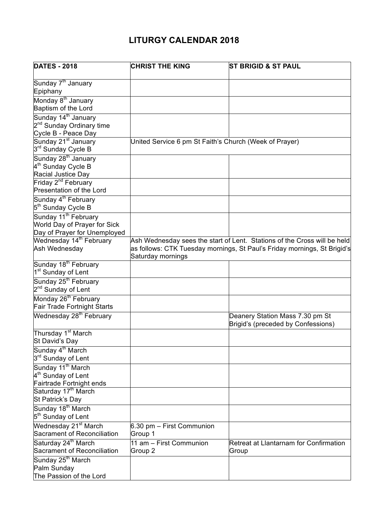## **LITURGY CALENDAR 2018**

| <b>DATES - 2018</b>                                               | <b>CHRIST THE KING</b>                                 | <b>ST BRIGID &amp; ST PAUL</b>                                           |
|-------------------------------------------------------------------|--------------------------------------------------------|--------------------------------------------------------------------------|
|                                                                   |                                                        |                                                                          |
| Sunday 7 <sup>th</sup> January<br>Epiphany                        |                                                        |                                                                          |
| Monday 8 <sup>th</sup> January                                    |                                                        |                                                                          |
| Baptism of the Lord                                               |                                                        |                                                                          |
| Sunday 14 <sup>th</sup> January                                   |                                                        |                                                                          |
| 2 <sup>nd</sup> Sunday Ordinary time                              |                                                        |                                                                          |
| Cycle B - Peace Day                                               |                                                        |                                                                          |
| Sunday 21 <sup>st</sup> January<br>3 <sup>rd</sup> Sunday Cycle B | United Service 6 pm St Faith's Church (Week of Prayer) |                                                                          |
| Sunday 28 <sup>th</sup> January                                   |                                                        |                                                                          |
| 4 <sup>th</sup> Sunday Cycle B                                    |                                                        |                                                                          |
| Racial Justice Day                                                |                                                        |                                                                          |
| Friday 2 <sup>nd</sup> February<br>Presentation of the Lord       |                                                        |                                                                          |
| Sunday 4 <sup>th</sup> February                                   |                                                        |                                                                          |
| 5 <sup>th</sup> Sunday Cycle B                                    |                                                        |                                                                          |
| Sunday 11 <sup>th</sup> February                                  |                                                        |                                                                          |
| World Day of Prayer for Sick                                      |                                                        |                                                                          |
| Day of Prayer for Unemployed                                      |                                                        |                                                                          |
| Wednesday 14 <sup>th</sup> February                               |                                                        | Ash Wednesday sees the start of Lent. Stations of the Cross will be held |
| Ash Wednesday                                                     | Saturday mornings                                      | as follows: CTK Tuesday mornings, St Paul's Friday mornings, St Brigid's |
| Sunday 18 <sup>th</sup> February                                  |                                                        |                                                                          |
| 1 <sup>st</sup> Sunday of Lent                                    |                                                        |                                                                          |
| Sunday 25 <sup>th</sup> February                                  |                                                        |                                                                          |
| 2 <sup>nd</sup> Sunday of Lent                                    |                                                        |                                                                          |
| Monday 26 <sup>th</sup> February                                  |                                                        |                                                                          |
| Fair Trade Fortnight Starts                                       |                                                        |                                                                          |
| Wednesday 28 <sup>th</sup> February                               |                                                        | Deanery Station Mass 7.30 pm St<br>Brigid's (preceded by Confessions)    |
| Thursday 1 <sup>st</sup> March                                    |                                                        |                                                                          |
| St David's Day                                                    |                                                        |                                                                          |
| Sunday 4 <sup>th</sup> March                                      |                                                        |                                                                          |
| 3 <sup>rd</sup> Sunday of Lent                                    |                                                        |                                                                          |
| Sunday 11 <sup>th</sup> March                                     |                                                        |                                                                          |
| 4 <sup>th</sup> Sunday of Lent                                    |                                                        |                                                                          |
| Fairtrade Fortnight ends                                          |                                                        |                                                                          |
| Saturday 17 <sup>th</sup> March                                   |                                                        |                                                                          |
| St Patrick's Day                                                  |                                                        |                                                                          |
| Sunday 18 <sup>th</sup> March                                     |                                                        |                                                                          |
| 5 <sup>th</sup> Sunday of Lent                                    |                                                        |                                                                          |
| Wednesday 21 <sup>st</sup> March                                  | 6.30 pm - First Communion                              |                                                                          |
| Sacrament of Reconciliation                                       | Group 1                                                |                                                                          |
| Saturday 24 <sup>th</sup> March<br>Sacrament of Reconciliation    | 11 am - First Communion                                | Retreat at Llantarnam for Confirmation                                   |
|                                                                   | Group 2                                                | Group                                                                    |
| Sunday 25 <sup>th</sup> March<br>Palm Sunday                      |                                                        |                                                                          |
| The Passion of the Lord                                           |                                                        |                                                                          |
|                                                                   |                                                        |                                                                          |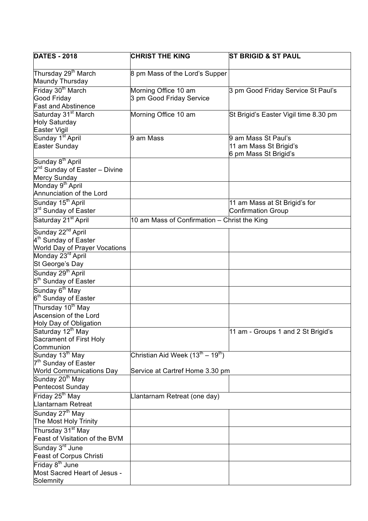| <b>DATES - 2018</b>                                                                                       | <b>CHRIST THE KING</b>                                                                       | <b>ST BRIGID &amp; ST PAUL</b>                                         |
|-----------------------------------------------------------------------------------------------------------|----------------------------------------------------------------------------------------------|------------------------------------------------------------------------|
| Thursday 29 <sup>th</sup> March<br>Maundy Thursday                                                        | 8 pm Mass of the Lord's Supper                                                               |                                                                        |
| Friday 30 <sup>th</sup> March<br><b>Good Friday</b><br><b>Fast and Abstinence</b>                         | Morning Office 10 am<br>3 pm Good Friday Service                                             | 3 pm Good Friday Service St Paul's                                     |
| Saturday 31 <sup>st</sup> March<br>Holy Saturday<br>Easter Vigil                                          | Morning Office 10 am                                                                         | St Brigid's Easter Vigil time 8.30 pm                                  |
| Sunday 1 <sup>st</sup> April<br>Easter Sunday                                                             | 9 am Mass                                                                                    | 9 am Mass St Paul's<br>11 am Mass St Brigid's<br>6 pm Mass St Brigid's |
| Sunday 8 <sup>th</sup> April<br>2 <sup>nd</sup> Sunday of Easter - Divine<br>Mercy Sunday                 |                                                                                              |                                                                        |
| Monday 9 <sup>th</sup> April<br>Annunciation of the Lord                                                  |                                                                                              |                                                                        |
| Sunday 15 <sup>th</sup> April<br>3 <sup>rd</sup> Sunday of Easter                                         |                                                                                              | 11 am Mass at St Brigid's for<br><b>Confirmation Group</b>             |
| Saturday 21 <sup>st</sup> April                                                                           | 10 am Mass of Confirmation - Christ the King                                                 |                                                                        |
| Sunday 22 <sup>nd</sup> April<br>4 <sup>th</sup> Sunday of Easter<br><b>World Day of Prayer Vocations</b> |                                                                                              |                                                                        |
| Monday 23 <sup>rd</sup> April<br>St George's Day                                                          |                                                                                              |                                                                        |
| Sunday 29 <sup>th</sup> April<br>5 <sup>th</sup> Sunday of Easter                                         |                                                                                              |                                                                        |
| Sunday 6 <sup>th</sup> May<br>6 <sup>th</sup> Sunday of Easter                                            |                                                                                              |                                                                        |
| Thursday 10 <sup>th</sup> May<br>Ascension of the Lord<br>Holy Day of Obligation                          |                                                                                              |                                                                        |
| Saturday 12 <sup>th</sup> May<br>Sacrament of First Holy<br>Communion                                     |                                                                                              | 11 am - Groups 1 and 2 St Brigid's                                     |
| Sunday 13 <sup>th</sup> May<br>7 <sup>th</sup> Sunday of Easter<br><b>World Communications Day</b>        | Christian Aid Week (13 <sup>th</sup> – 19 <sup>th</sup> )<br>Service at Cartref Home 3.30 pm |                                                                        |
| Sunday 20 <sup>th</sup> May<br>Pentecost Sunday                                                           |                                                                                              |                                                                        |
| Friday 25 <sup>th</sup> May<br>Llantarnam Retreat                                                         | Llantarnam Retreat (one day)                                                                 |                                                                        |
| Sunday 27 <sup>th</sup> May<br>The Most Holy Trinity                                                      |                                                                                              |                                                                        |
| Thursday 31 <sup>st</sup> May<br>Feast of Visitation of the BVM                                           |                                                                                              |                                                                        |
| Sunday 3 <sup>rd</sup> June<br><b>Feast of Corpus Christi</b>                                             |                                                                                              |                                                                        |
| Friday 8 <sup>th</sup> June<br>Most Sacred Heart of Jesus -<br>Solemnity                                  |                                                                                              |                                                                        |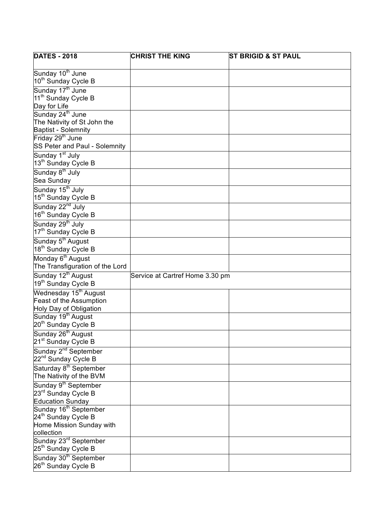| <b>DATES - 2018</b>                | <b>CHRIST THE KING</b>          | <b>ST BRIGID &amp; ST PAUL</b> |
|------------------------------------|---------------------------------|--------------------------------|
|                                    |                                 |                                |
| Sunday 10 <sup>th</sup> June       |                                 |                                |
| 10 <sup>th</sup> Sunday Cycle B    |                                 |                                |
| Sunday 17 <sup>th</sup> June       |                                 |                                |
| 11 <sup>th</sup> Sunday Cycle B    |                                 |                                |
| Day for Life                       |                                 |                                |
| Sunday 24 <sup>th</sup> June       |                                 |                                |
| The Nativity of St John the        |                                 |                                |
| <b>Baptist - Solemnity</b>         |                                 |                                |
| Friday 29 <sup>th</sup> June       |                                 |                                |
| SS Peter and Paul - Solemnity      |                                 |                                |
| Sunday 1 <sup>st</sup> July        |                                 |                                |
| 13 <sup>th</sup> Sunday Cycle B    |                                 |                                |
| Sunday 8 <sup>th</sup> July        |                                 |                                |
| Sea Sunday                         |                                 |                                |
| Sunday 15 <sup>th</sup> July       |                                 |                                |
| 15 <sup>th</sup> Sunday Cycle B    |                                 |                                |
| Sunday 22 <sup>nd</sup> July       |                                 |                                |
| 16 <sup>th</sup> Sunday Cycle B    |                                 |                                |
| Sunday 29 <sup>th</sup> July       |                                 |                                |
| 17 <sup>th</sup> Sunday Cycle B    |                                 |                                |
| Sunday 5 <sup>th</sup> August      |                                 |                                |
| 18 <sup>th</sup> Sunday Cycle B    |                                 |                                |
|                                    |                                 |                                |
| Monday 6 <sup>th</sup> August      |                                 |                                |
| The Transfiguration of the Lord    |                                 |                                |
| Sunday 12 <sup>th</sup> August     | Service at Cartref Home 3.30 pm |                                |
| 19 <sup>th</sup> Sunday Cycle B    |                                 |                                |
| Wednesday 15 <sup>th</sup> August  |                                 |                                |
| Feast of the Assumption            |                                 |                                |
| Holy Day of Obligation             |                                 |                                |
| Sunday 19 <sup>th</sup> August     |                                 |                                |
| 20 <sup>th</sup> Sunday Cycle B    |                                 |                                |
| Sunday 26 <sup>th</sup> August     |                                 |                                |
| 21 <sup>st</sup> Sunday Cycle B    |                                 |                                |
| Sunday 2 <sup>nd</sup> September   |                                 |                                |
| 22 <sup>nd</sup> Sunday Cycle B    |                                 |                                |
| Saturday 8 <sup>th</sup> September |                                 |                                |
| The Nativity of the BVM            |                                 |                                |
| Sunday 9 <sup>th</sup> September   |                                 |                                |
| 23rd Sunday Cycle B                |                                 |                                |
| <b>Education Sunday</b>            |                                 |                                |
| Sunday 16 <sup>th</sup> September  |                                 |                                |
| 24 <sup>th</sup> Sunday Cycle B    |                                 |                                |
| Home Mission Sunday with           |                                 |                                |
| collection                         |                                 |                                |
| Sunday 23 <sup>rd</sup> September  |                                 |                                |
| 25 <sup>th</sup> Sunday Cycle B    |                                 |                                |
| Sunday 30 <sup>th</sup> September  |                                 |                                |
| 26 <sup>th</sup> Sunday Cycle B    |                                 |                                |